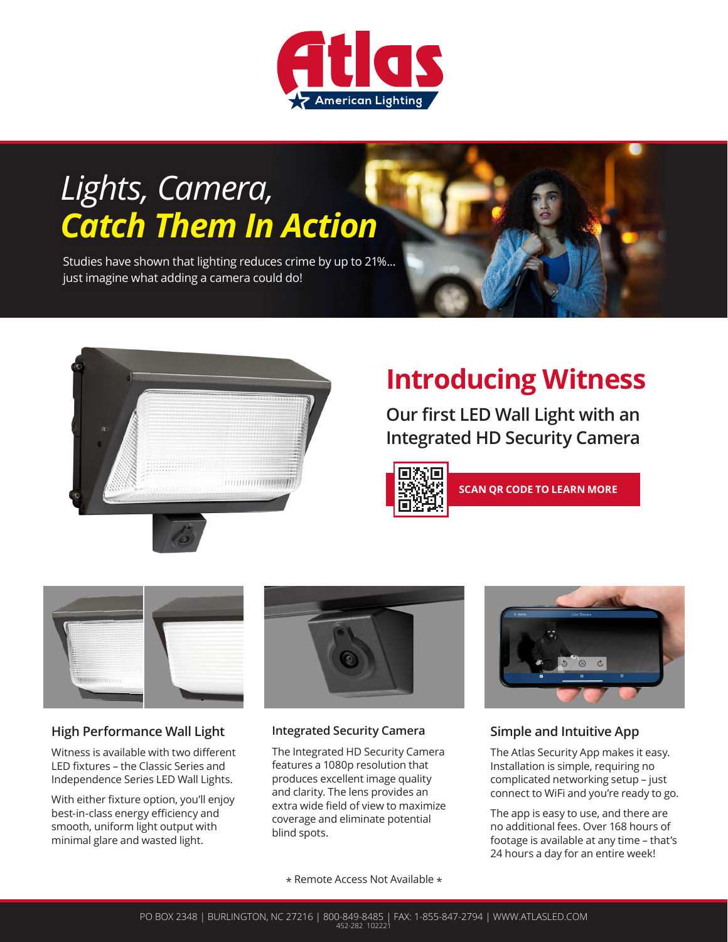

# *Lights, Camera, Catch Them In Action*

Studies have shown that lighting reduces crime by up to 21%... just imagine what adding a camera could do!





# **Introducing Witness**

**Our first LED Wall Light with an Integrated HD Security Camera**



**SCAN QR CODE TO LEARN MORE**



## **High Performance Wall Light**

Witness is available with two different LED fixtures – the Classic Series and Independence Series LED Wall Lights.

With either fixture option, you'll enjoy best-in-class energy efficiency and smooth, uniform light output with minimal glare and wasted light.



#### **Integrated Security Camera**

The Integrated HD Security Camera features a 1080p resolution that produces excellent image quality and clarity. The lens provides an extra wide field of view to maximize coverage and eliminate potential blind spots.



## **Simple and Intuitive App**

The Atlas Security App makes it easy. Installation is simple, requiring no complicated networking setup – just connect to WiFi and you're ready to go.

The app is easy to use, and there are no additional fees. Over 168 hours of footage is available at any time – that's 24 hours a day for an entire week!